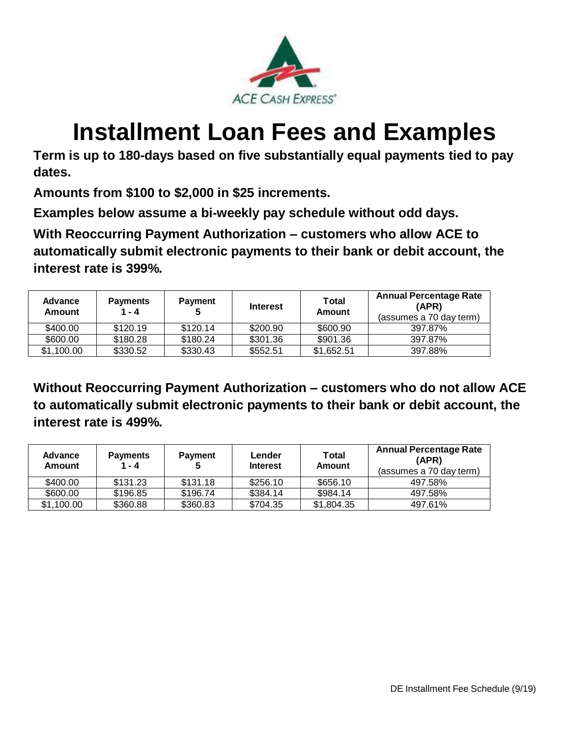

## **Installment Loan Fees and Examples**

**Term is up to 180-days based on five substantially equal payments tied to pay dates.**

**Amounts from \$100 to \$2,000 in \$25 increments.**

**Examples below assume a bi-weekly pay schedule without odd days.**

**With Reoccurring Payment Authorization – customers who allow ACE to automatically submit electronic payments to their bank or debit account, the interest rate is 399%.**

| <b>Advance</b><br>Amount | <b>Payments</b><br>$1 - 4$ | <b>Payment</b> | <b>Interest</b> | Total<br>Amount | <b>Annual Percentage Rate</b><br>(APR)<br>(assumes a 70 day term) |
|--------------------------|----------------------------|----------------|-----------------|-----------------|-------------------------------------------------------------------|
| \$400.00                 | \$120.19                   | \$120.14       | \$200.90        | \$600.90        | 397.87%                                                           |
| \$600.00                 | \$180.28                   | \$180.24       | \$301.36        | \$901.36        | 397.87%                                                           |
| \$1,100.00               | \$330.52                   | \$330.43       | \$552.51        | \$1,652.51      | 397.88%                                                           |

**Without Reoccurring Payment Authorization – customers who do not allow ACE to automatically submit electronic payments to their bank or debit account, the interest rate is 499%.**

| <b>Advance</b><br>Amount | <b>Payments</b><br>$1 - 4$ | <b>Payment</b> | Lender<br><b>Interest</b> | Total<br>Amount | <b>Annual Percentage Rate</b><br>(APR)<br>(assumes a 70 day term) |
|--------------------------|----------------------------|----------------|---------------------------|-----------------|-------------------------------------------------------------------|
| \$400.00                 | \$131.23                   | \$131.18       | \$256.10                  | \$656.10        | 497.58%                                                           |
| \$600.00                 | \$196.85                   | \$196.74       | \$384.14                  | \$984.14        | 497.58%                                                           |
| \$1,100.00               | \$360.88                   | \$360.83       | \$704.35                  | \$1,804.35      | 497.61%                                                           |